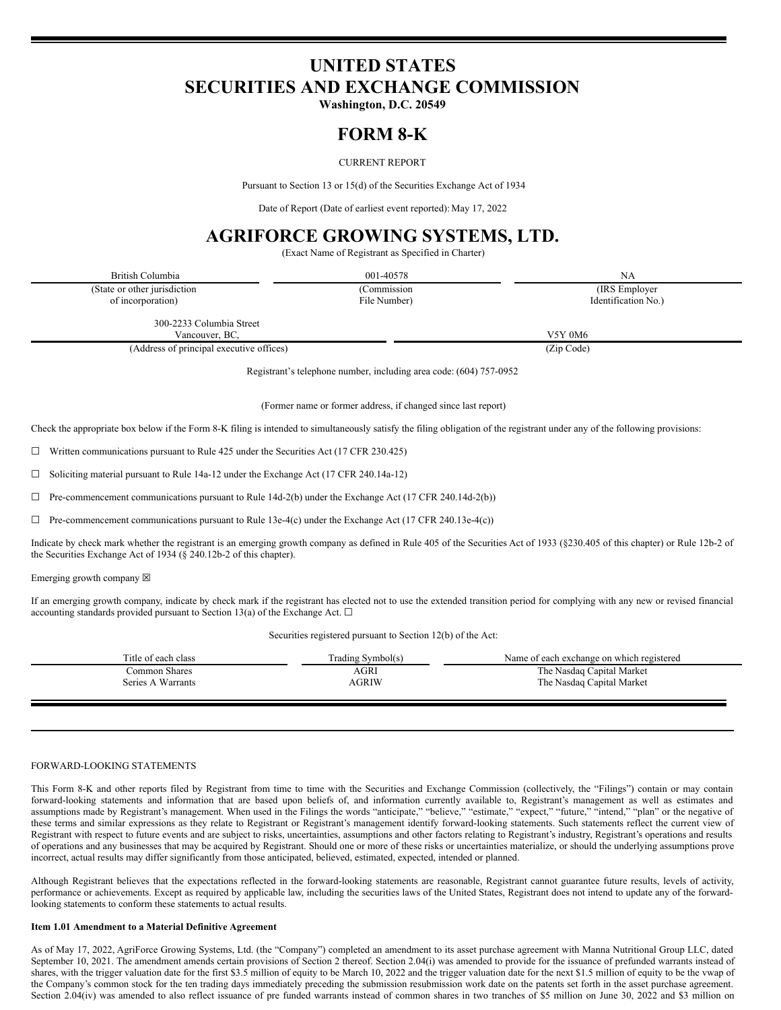# **UNITED STATES SECURITIES AND EXCHANGE COMMISSION**

**Washington, D.C. 20549**

## **FORM 8-K**

## CURRENT REPORT

Pursuant to Section 13 or 15(d) of the Securities Exchange Act of 1934

Date of Report (Date of earliest event reported): May 17, 2022

## **AGRIFORCE GROWING SYSTEMS, LTD.**

(Exact Name of Registrant as Specified in Charter)

| British Columbia                         | 001-40578                                                         | NA                  |
|------------------------------------------|-------------------------------------------------------------------|---------------------|
| (State or other jurisdiction             | (Commission                                                       | (IRS Employer)      |
| of incorporation)                        | File Number)                                                      | Identification No.) |
| 300-2233 Columbia Street                 |                                                                   |                     |
| Vancouver, BC,                           |                                                                   | V5Y 0M6             |
| (Address of principal executive offices) |                                                                   | (Zip Code)          |
|                                          | Registrant's telephone number including area code: (604) 757-0952 |                     |

Registrant's telephone number, including area code: (604) 757-0952

(Former name or former address, if changed since last report)

Check the appropriate box below if the Form 8-K filing is intended to simultaneously satisfy the filing obligation of the registrant under any of the following provisions:

 $\Box$  Written communications pursuant to Rule 425 under the Securities Act (17 CFR 230.425)

☐ Soliciting material pursuant to Rule 14a-12 under the Exchange Act (17 CFR 240.14a-12)

☐ Pre-commencement communications pursuant to Rule 14d-2(b) under the Exchange Act (17 CFR 240.14d-2(b))

 $\Box$  Pre-commencement communications pursuant to Rule 13e-4(c) under the Exchange Act (17 CFR 240.13e-4(c))

Indicate by check mark whether the registrant is an emerging growth company as defined in Rule 405 of the Securities Act of 1933 (§230.405 of this chapter) or Rule 12b-2 of the Securities Exchange Act of 1934 (§ 240.12b-2 of this chapter).

Emerging growth company  $\boxtimes$ 

If an emerging growth company, indicate by check mark if the registrant has elected not to use the extended transition period for complying with any new or revised financial accounting standards provided pursuant to Section 13(a) of the Exchange Act.  $\Box$ 

Securities registered pursuant to Section 12(b) of the Act:

| Title of each class | Trading Symbol(s) | Name of each exchange on which registered |
|---------------------|-------------------|-------------------------------------------|
| Common Shares       | AGRI              | The Nasdaq Capital Market                 |
| Series A Warrants   | AGRIW             | The Nasdaq Capital Market                 |
|                     |                   |                                           |

#### FORWARD-LOOKING STATEMENTS

This Form 8-K and other reports filed by Registrant from time to time with the Securities and Exchange Commission (collectively, the "Filings") contain or may contain forward-looking statements and information that are based upon beliefs of, and information currently available to, Registrant's management as well as estimates and assumptions made by Registrant's management. When used in the Filings the words "anticipate," "believe," "estimate," "expect," "future," "intend," "plan" or the negative of these terms and similar expressions as they relate to Registrant or Registrant's management identify forward-looking statements. Such statements reflect the current view of Registrant with respect to future events and are subject to risks, uncertainties, assumptions and other factors relating to Registrant's industry, Registrant's operations and results of operations and any businesses that may be acquired by Registrant. Should one or more of these risks or uncertainties materialize, or should the underlying assumptions prove incorrect, actual results may differ significantly from those anticipated, believed, estimated, expected, intended or planned.

Although Registrant believes that the expectations reflected in the forward-looking statements are reasonable, Registrant cannot guarantee future results, levels of activity, performance or achievements. Except as required by applicable law, including the securities laws of the United States, Registrant does not intend to update any of the forwardlooking statements to conform these statements to actual results.

### **Item 1.01 Amendment to a Material Definitive Agreement**

As of May 17, 2022, AgriForce Growing Systems, Ltd. (the "Company") completed an amendment to its asset purchase agreement with Manna Nutritional Group LLC, dated September 10, 2021. The amendment amends certain provisions of Section 2 thereof. Section 2.04(i) was amended to provide for the issuance of prefunded warrants instead of shares, with the trigger valuation date for the first \$3.5 million of equity to be March 10, 2022 and the trigger valuation date for the next \$1.5 million of equity to be the vwap of the Company's common stock for the ten trading days immediately preceding the submission resubmission work date on the patents set forth in the asset purchase agreement. Section 2.04(iv) was amended to also reflect issuance of pre funded warrants instead of common shares in two tranches of \$5 million on June 30, 2022 and \$3 million on